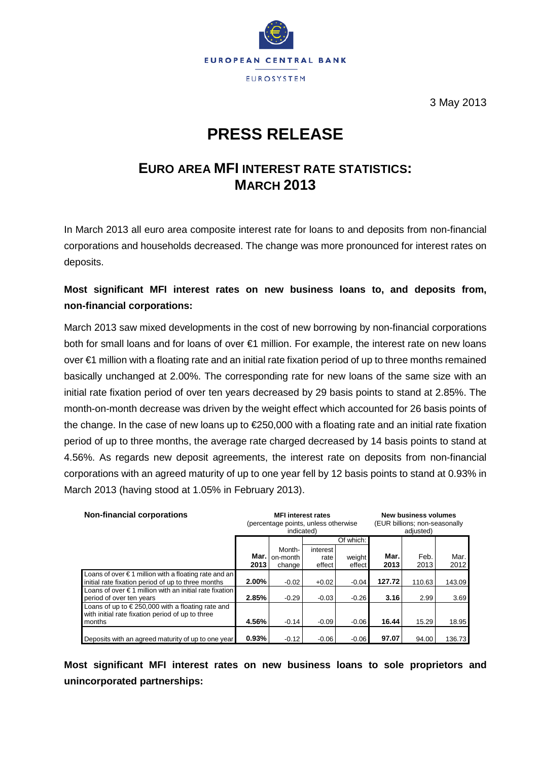

3 May 2013

# **PRESS RELEASE**

## **EURO AREA MFI INTEREST RATE STATISTICS: MARCH 2013**

In March 2013 all euro area composite interest rate for loans to and deposits from non-financial corporations and households decreased. The change was more pronounced for interest rates on deposits.

### **Most significant MFI interest rates on new business loans to, and deposits from, non-financial corporations:**

March 2013 saw mixed developments in the cost of new borrowing by non-financial corporations both for small loans and for loans of over €1 million. For example, the interest rate on new loans over €1 million with a floating rate and an initial rate fixation period of up to three months remained basically unchanged at 2.00%. The corresponding rate for new loans of the same size with an initial rate fixation period of over ten years decreased by 29 basis points to stand at 2.85%. The month-on-month decrease was driven by the weight effect which accounted for 26 basis points of the change. In the case of new loans up to €250,000 with a floating rate and an initial rate fixation period of up to three months, the average rate charged decreased by 14 basis points to stand at 4.56%. As regards new deposit agreements, the interest rate on deposits from non-financial corporations with an agreed maturity of up to one year fell by 12 basis points to stand at 0.93% in March 2013 (having stood at 1.05% in February 2013).

| <b>Non-financial corporations</b>                                                                                    |                | <b>MFI</b> interest rates<br>(percentage points, unless otherwise<br>indicated) |                            |                  | <b>New business volumes</b><br>(EUR billions; non-seasonally<br>adjusted) |              |              |  |  |  |
|----------------------------------------------------------------------------------------------------------------------|----------------|---------------------------------------------------------------------------------|----------------------------|------------------|---------------------------------------------------------------------------|--------------|--------------|--|--|--|
|                                                                                                                      |                |                                                                                 |                            | Of which:        |                                                                           |              |              |  |  |  |
|                                                                                                                      | Mar. I<br>2013 | Month-<br>on-month<br>change                                                    | interest<br>rate<br>effect | weight<br>effect | Mar.<br>2013                                                              | Feb.<br>2013 | Mar.<br>2012 |  |  |  |
| Loans of over $\epsilon$ 1 million with a floating rate and an<br>initial rate fixation period of up to three months | $2.00\%$       | $-0.02$                                                                         | $+0.02$                    | $-0.04$          | 127.72                                                                    | 110.63       | 143.09       |  |  |  |
| Loans of over $\epsilon$ 1 million with an initial rate fixation<br>period of over ten years                         | 2.85%          | $-0.29$                                                                         | $-0.03$                    | $-0.26$          | 3.16                                                                      | 2.99         | 3.69         |  |  |  |
| Loans of up to $\in$ 250,000 with a floating rate and<br>with initial rate fixation period of up to three<br>months  | 4.56%          | $-0.14$                                                                         | $-0.09$                    | $-0.06$          | 16.44                                                                     | 15.29        | 18.95        |  |  |  |
| Deposits with an agreed maturity of up to one year                                                                   | 0.93%          | $-0.12$                                                                         | $-0.06$                    | $-0.06$          | 97.07                                                                     | 94.00        | 136.73       |  |  |  |

**Most significant MFI interest rates on new business loans to sole proprietors and unincorporated partnerships:**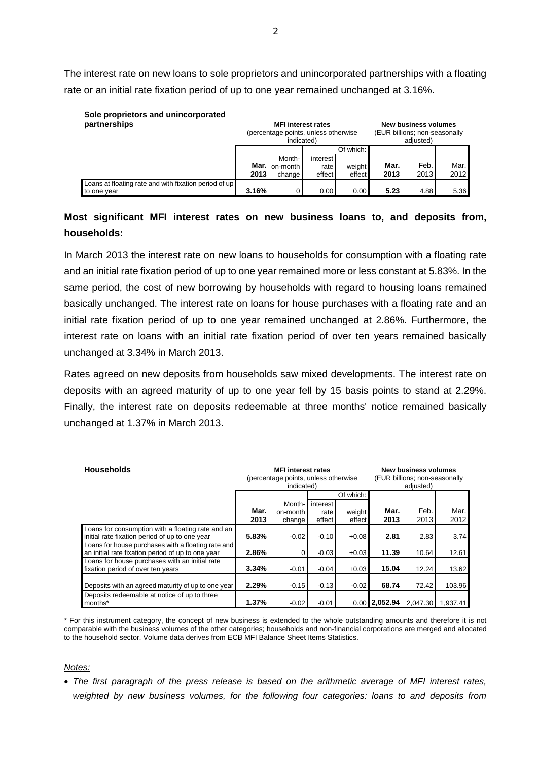The interest rate on new loans to sole proprietors and unincorporated partnerships with a floating rate or an initial rate fixation period of up to one year remained unchanged at 3.16%.

# **Sole proprietors and unincorporated**

| partnerships                                                         |              | <b>MFI interest rates</b><br>(percentage points, unless otherwise<br>indicated) |                            |                  | New business volumes<br>(EUR billions; non-seasonally<br>adiusted) |              |              |
|----------------------------------------------------------------------|--------------|---------------------------------------------------------------------------------|----------------------------|------------------|--------------------------------------------------------------------|--------------|--------------|
|                                                                      |              |                                                                                 |                            | Of which:        |                                                                    |              |              |
|                                                                      | Mar.<br>2013 | Month-<br>on-month<br>change                                                    | interest<br>rate<br>effect | weight<br>effect | Mar.<br>2013                                                       | Feb.<br>2013 | Mar.<br>2012 |
| Loans at floating rate and with fixation period of up<br>to one year | 3.16%        | $^{\circ}$                                                                      | 0.00                       | 0.00             | 5.23                                                               | 4.88         | 5.36         |

### **Most significant MFI interest rates on new business loans to, and deposits from, households:**

In March 2013 the interest rate on new loans to households for consumption with a floating rate and an initial rate fixation period of up to one year remained more or less constant at 5.83%. In the same period, the cost of new borrowing by households with regard to housing loans remained basically unchanged. The interest rate on loans for house purchases with a floating rate and an initial rate fixation period of up to one year remained unchanged at 2.86%. Furthermore, the interest rate on loans with an initial rate fixation period of over ten years remained basically unchanged at 3.34% in March 2013.

Rates agreed on new deposits from households saw mixed developments. The interest rate on deposits with an agreed maturity of up to one year fell by 15 basis points to stand at 2.29%. Finally, the interest rate on deposits redeemable at three months' notice remained basically unchanged at 1.37% in March 2013.

| <b>Households</b>                                                                                       |              | <b>MFI</b> interest rates<br>(percentage points, unless otherwise<br>indicated) |                        |                 | New business volumes<br>(EUR billions; non-seasonally<br>adjusted) |          |        |
|---------------------------------------------------------------------------------------------------------|--------------|---------------------------------------------------------------------------------|------------------------|-----------------|--------------------------------------------------------------------|----------|--------|
|                                                                                                         |              |                                                                                 |                        | Of which:       |                                                                    |          |        |
|                                                                                                         | Mar.<br>2013 | Month-<br>on-month<br>change                                                    | Mar.<br>2013<br>effect | Feb.<br>2013    | Mar.<br>2012                                                       |          |        |
| Loans for consumption with a floating rate and an<br>initial rate fixation period of up to one year     | 5.83%        | $-0.02$                                                                         | $-0.10$                | $+0.08$         | 2.81                                                               | 2.83     | 3.74   |
| Loans for house purchases with a floating rate and<br>an initial rate fixation period of up to one year | 2.86%        | 0                                                                               | $-0.03$                | $+0.03$         | 11.39                                                              | 10.64    | 12.61  |
| Loans for house purchases with an initial rate<br>fixation period of over ten years                     | 3.34%        | $-0.01$                                                                         | $-0.04$                | $+0.03$         | 15.04                                                              | 12.24    | 13.62  |
| Deposits with an agreed maturity of up to one year                                                      | 2.29%        | $-0.15$                                                                         | $-0.13$                | $-0.02$         | 68.74                                                              | 72.42    | 103.96 |
| Deposits redeemable at notice of up to three<br>months*                                                 | 1.37%        | $-0.02$                                                                         | $-0.01$                | $0.00$ 2.052.94 | 2.047.30                                                           | 1.937.41 |        |

\* For this instrument category, the concept of new business is extended to the whole outstanding amounts and therefore it is not comparable with the business volumes of the other categories; households and non-financial corporations are merged and allocated to the household sector. Volume data derives from ECB MFI Balance Sheet Items Statistics.

### *Notes:*

• *The first paragraph of the press release is based on the arithmetic average of MFI interest rates, weighted by new business volumes, for the following four categories: loans to and deposits from*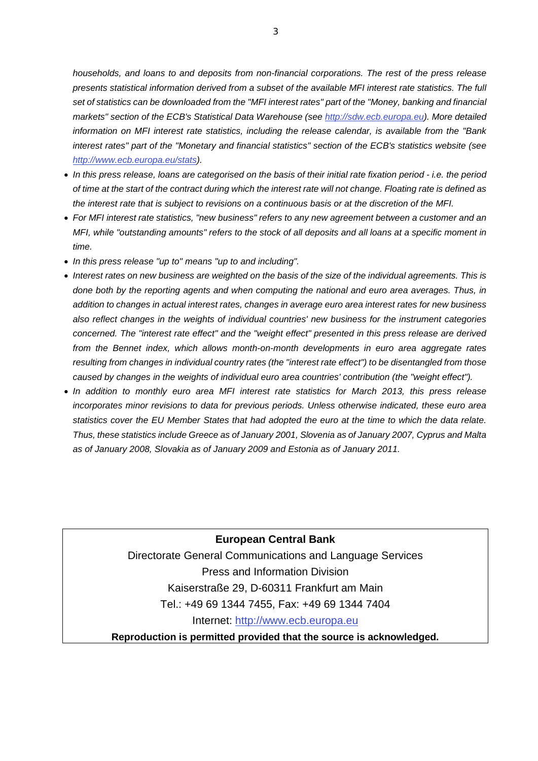*households, and loans to and deposits from non-financial corporations. The rest of the press release presents statistical information derived from a subset of the available MFI interest rate statistics. The full set of statistics can be downloaded from the "MFI interest rates" part of the "Money, banking and financial markets" section of the ECB's Statistical Data Warehouse (see [http://sdw.ecb.europa.eu\)](http://sdw.ecb.europa.eu/). More detailed information on MFI interest rate statistics, including the release calendar, is available from the "Bank interest rates" part of the "Monetary and financial statistics" section of the ECB's statistics website (see [http://www.ecb.europa.eu/stats\)](http://www.ecb.europa.eu/stats).* 

- *In this press release, loans are categorised on the basis of their initial rate fixation period - i.e. the period of time at the start of the contract during which the interest rate will not change. Floating rate is defined as the interest rate that is subject to revisions on a continuous basis or at the discretion of the MFI.*
- *For MFI interest rate statistics, "new business" refers to any new agreement between a customer and an MFI, while "outstanding amounts" refers to the stock of all deposits and all loans at a specific moment in time.*
- *In this press release "up to" means "up to and including".*
- *Interest rates on new business are weighted on the basis of the size of the individual agreements. This is done both by the reporting agents and when computing the national and euro area averages. Thus, in addition to changes in actual interest rates, changes in average euro area interest rates for new business also reflect changes in the weights of individual countries' new business for the instrument categories concerned. The "interest rate effect" and the "weight effect" presented in this press release are derived from the Bennet index, which allows month-on-month developments in euro area aggregate rates resulting from changes in individual country rates (the "interest rate effect") to be disentangled from those caused by changes in the weights of individual euro area countries' contribution (the "weight effect").*
- *In addition to monthly euro area MFI interest rate statistics for March 2013, this press release incorporates minor revisions to data for previous periods. Unless otherwise indicated, these euro area statistics cover the EU Member States that had adopted the euro at the time to which the data relate. Thus, these statistics include Greece as of January 2001, Slovenia as of January 2007, Cyprus and Malta as of January 2008, Slovakia as of January 2009 and Estonia as of January 2011.*

**European Central Bank** Directorate General Communications and Language Services Press and Information Division Kaiserstraße 29, D-60311 Frankfurt am Main Tel.: +49 69 1344 7455, Fax: +49 69 1344 7404 Internet: [http://www.ecb.europa.eu](http://www.ecb.europa.eu/) **Reproduction is permitted provided that the source is acknowledged.**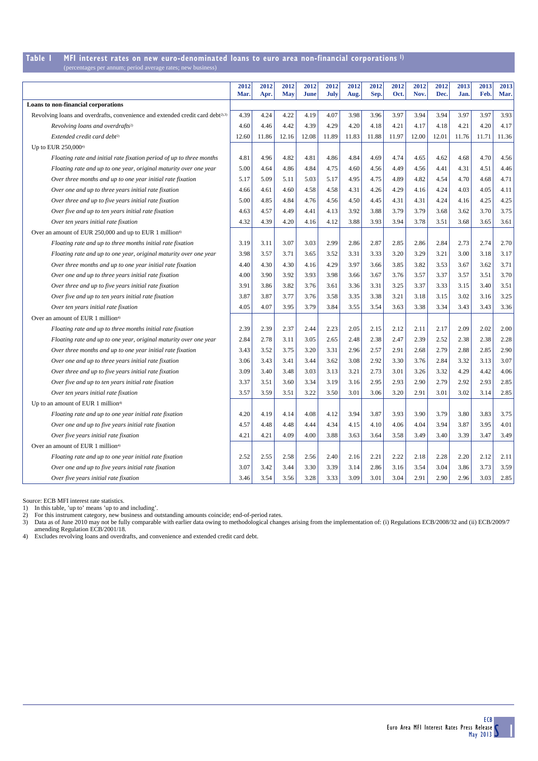#### **Table 1 MFI interest rates on new euro-denominated loans to euro area non-financial corporations 1)** es per annum; period average rates; new busi

|                                                                                            | 2012  | 2012  | 2012       | 2012        | 2012  | 2012  | 2012  | 2012  | 2012  | 2012  | 2013  | 2013  | 2013  |
|--------------------------------------------------------------------------------------------|-------|-------|------------|-------------|-------|-------|-------|-------|-------|-------|-------|-------|-------|
|                                                                                            | Mar.  | Apr.  | <b>May</b> | <b>June</b> | July  | Aug.  | Sep.  | Oct.  | Nov.  | Dec.  | Jan.  | Feb.  | Mar.  |
| Loans to non-financial corporations                                                        |       |       |            |             |       |       |       |       |       |       |       |       |       |
| Revolving loans and overdrafts, convenience and extended credit card debt <sup>2),3)</sup> | 4.39  | 4.24  | 4.22       | 4.19        | 4.07  | 3.98  | 3.96  | 3.97  | 3.94  | 3.94  | 3.97  | 3.97  | 3.93  |
| Revolving loans and overdrafts <sup>2)</sup>                                               | 4.60  | 4.46  | 4.42       | 4.39        | 4.29  | 4.20  | 4.18  | 4.21  | 4.17  | 4.18  | 4.21  | 4.20  | 4.17  |
| Extended credit card debt <sup>2)</sup>                                                    | 12.60 | 11.86 | 12.16      | 12.08       | 11.89 | 11.83 | 11.88 | 11.97 | 12.00 | 12.01 | 11.76 | 11.71 | 11.36 |
| Up to EUR 250,000 <sup>4)</sup>                                                            |       |       |            |             |       |       |       |       |       |       |       |       |       |
| Floating rate and initial rate fixation period of up to three months                       | 4.81  | 4.96  | 4.82       | 4.81        | 4.86  | 4.84  | 4.69  | 4.74  | 4.65  | 4.62  | 4.68  | 4.70  | 4.56  |
| Floating rate and up to one year, original maturity over one year                          | 5.00  | 4.64  | 4.86       | 4.84        | 4.75  | 4.60  | 4.56  | 4.49  | 4.56  | 4.41  | 4.31  | 4.51  | 4.46  |
| Over three months and up to one year initial rate fixation                                 | 5.17  | 5.09  | 5.11       | 5.03        | 5.17  | 4.95  | 4.75  | 4.89  | 4.82  | 4.54  | 4.70  | 4.68  | 4.71  |
| Over one and up to three years initial rate fixation                                       | 4.66  | 4.61  | 4.60       | 4.58        | 4.58  | 4.31  | 4.26  | 4.29  | 4.16  | 4.24  | 4.03  | 4.05  | 4.11  |
| Over three and up to five years initial rate fixation                                      | 5.00  | 4.85  | 4.84       | 4.76        | 4.56  | 4.50  | 4.45  | 4.31  | 4.31  | 4.24  | 4.16  | 4.25  | 4.25  |
| Over five and up to ten years initial rate fixation                                        | 4.63  | 4.57  | 4.49       | 4.41        | 4.13  | 3.92  | 3.88  | 3.79  | 3.79  | 3.68  | 3.62  | 3.70  | 3.75  |
| Over ten years initial rate fixation                                                       | 4.32  | 4.39  | 4.20       | 4.16        | 4.12  | 3.88  | 3.93  | 3.94  | 3.78  | 3.51  | 3.68  | 3.65  | 3.61  |
| Over an amount of EUR 250,000 and up to EUR 1 million <sup>4)</sup>                        |       |       |            |             |       |       |       |       |       |       |       |       |       |
| Floating rate and up to three months initial rate fixation                                 | 3.19  | 3.11  | 3.07       | 3.03        | 2.99  | 2.86  | 2.87  | 2.85  | 2.86  | 2.84  | 2.73  | 2.74  | 2.70  |
| Floating rate and up to one year, original maturity over one year                          | 3.98  | 3.57  | 3.71       | 3.65        | 3.52  | 3.31  | 3.33  | 3.20  | 3.29  | 3.21  | 3.00  | 3.18  | 3.17  |
| Over three months and up to one year initial rate fixation                                 | 4.40  | 4.30  | 4.30       | 4.16        | 4.29  | 3.97  | 3.66  | 3.85  | 3.82  | 3.53  | 3.67  | 3.62  | 3.71  |
| Over one and up to three years initial rate fixation                                       | 4.00  | 3.90  | 3.92       | 3.93        | 3.98  | 3.66  | 3.67  | 3.76  | 3.57  | 3.37  | 3.57  | 3.51  | 3.70  |
| Over three and up to five years initial rate fixation                                      | 3.91  | 3.86  | 3.82       | 3.76        | 3.61  | 3.36  | 3.31  | 3.25  | 3.37  | 3.33  | 3.15  | 3.40  | 3.51  |
| Over five and up to ten years initial rate fixation                                        | 3.87  | 3.87  | 3.77       | 3.76        | 3.58  | 3.35  | 3.38  | 3.21  | 3.18  | 3.15  | 3.02  | 3.16  | 3.25  |
| Over ten years initial rate fixation                                                       | 4.05  | 4.07  | 3.95       | 3.79        | 3.84  | 3.55  | 3.54  | 3.63  | 3.38  | 3.34  | 3.43  | 3.43  | 3.36  |
| Over an amount of EUR 1 million <sup>4)</sup>                                              |       |       |            |             |       |       |       |       |       |       |       |       |       |
| Floating rate and up to three months initial rate fixation                                 | 2.39  | 2.39  | 2.37       | 2.44        | 2.23  | 2.05  | 2.15  | 2.12  | 2.11  | 2.17  | 2.09  | 2.02  | 2.00  |
| Floating rate and up to one year, original maturity over one year                          | 2.84  | 2.78  | 3.11       | 3.05        | 2.65  | 2.48  | 2.38  | 2.47  | 2.39  | 2.52  | 2.38  | 2.38  | 2.28  |
| Over three months and up to one year initial rate fixation                                 | 3.43  | 3.52  | 3.75       | 3.20        | 3.31  | 2.96  | 2.57  | 2.91  | 2.68  | 2.79  | 2.88  | 2.85  | 2.90  |
| Over one and up to three years initial rate fixation                                       | 3.06  | 3.43  | 3.41       | 3.44        | 3.62  | 3.08  | 2.92  | 3.30  | 3.76  | 2.84  | 3.32  | 3.13  | 3.07  |
| Over three and up to five years initial rate fixation                                      | 3.09  | 3.40  | 3.48       | 3.03        | 3.13  | 3.21  | 2.73  | 3.01  | 3.26  | 3.32  | 4.29  | 4.42  | 4.06  |
| Over five and up to ten years initial rate fixation                                        | 3.37  | 3.51  | 3.60       | 3.34        | 3.19  | 3.16  | 2.95  | 2.93  | 2.90  | 2.79  | 2.92  | 2.93  | 2.85  |
| Over ten years initial rate fixation                                                       | 3.57  | 3.59  | 3.51       | 3.22        | 3.50  | 3.01  | 3.06  | 3.20  | 2.91  | 3.01  | 3.02  | 3.14  | 2.85  |
| Up to an amount of EUR 1 million <sup>4)</sup>                                             |       |       |            |             |       |       |       |       |       |       |       |       |       |
| Floating rate and up to one year initial rate fixation                                     | 4.20  | 4.19  | 4.14       | 4.08        | 4.12  | 3.94  | 3.87  | 3.93  | 3.90  | 3.79  | 3.80  | 3.83  | 3.75  |
| Over one and up to five years initial rate fixation                                        | 4.57  | 4.48  | 4.48       | 4.44        | 4.34  | 4.15  | 4.10  | 4.06  | 4.04  | 3.94  | 3.87  | 3.95  | 4.01  |
| Over five years initial rate fixation                                                      | 4.21  | 4.21  | 4.09       | 4.00        | 3.88  | 3.63  | 3.64  | 3.58  | 3.49  | 3.40  | 3.39  | 3.47  | 3.49  |
| Over an amount of EUR 1 million <sup>4)</sup>                                              |       |       |            |             |       |       |       |       |       |       |       |       |       |
| Floating rate and up to one year initial rate fixation                                     | 2.52  | 2.55  | 2.58       | 2.56        | 2.40  | 2.16  | 2.21  | 2.22  | 2.18  | 2.28  | 2.20  | 2.12  | 2.11  |
| Over one and up to five years initial rate fixation                                        | 3.07  | 3.42  | 3.44       | 3.30        | 3.39  | 3.14  | 2.86  | 3.16  | 3.54  | 3.04  | 3.86  | 3.73  | 3.59  |
| Over five years initial rate fixation                                                      | 3.46  | 3.54  | 3.56       | 3.28        | 3.33  | 3.09  | 3.01  | 3.04  | 2.91  | 2.90  | 2.96  | 3.03  | 2.85  |

Source: ECB MFI interest rate statistics. 1) In this table, 'up to' means 'up to and including'. 2) For this instrument category, new business and outstanding amounts coincide; end-of-period rates.

3) Data as of June 2010 may not be fully comparable with earlier data owing to methodological changes arising from the implementation of: (i) Regulations ECB/2008/32 and (ii) ECB/2009/7 amending Regulation ECB/2001/18.

4) Excludes revolving loans and overdrafts, and convenience and extended credit card debt.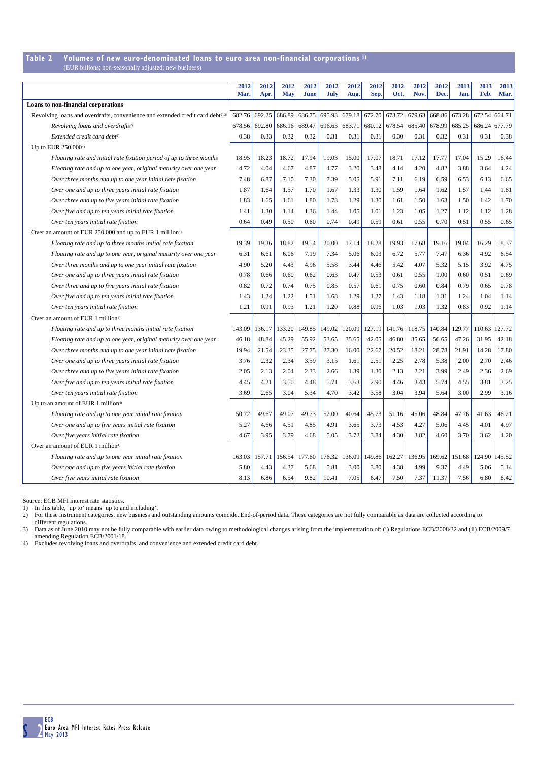## **Table 2 Volumes of new euro-denominated loans to euro area non-financial corporations 1)**

| (EUR billions; non-seasonally adjusted; new business) |  |  |  |
|-------------------------------------------------------|--|--|--|
|-------------------------------------------------------|--|--|--|

|                                                                                            | 2012<br>Mar. | 2012<br>Apr. | 2012<br><b>May</b> | 2012<br><b>June</b> | 2012<br>July | 2012<br>Aug. | 2012<br>Sep.  | 2012<br>Oct. | 2012<br>Nov. | 2012<br>Dec. | 2013<br>Jan | 2013<br>Feb.  | 2013<br>Mar. |
|--------------------------------------------------------------------------------------------|--------------|--------------|--------------------|---------------------|--------------|--------------|---------------|--------------|--------------|--------------|-------------|---------------|--------------|
| Loans to non-financial corporations                                                        |              |              |                    |                     |              |              |               |              |              |              |             |               |              |
| Revolving loans and overdrafts, convenience and extended credit card debt <sup>2),3)</sup> | 682.76       | 692.25       | 686.89             | 686.75              | 695.93       |              | 679.18 672.70 | 673.72       | 679.63       | 668.86       | 673.28      | 672.54 664.71 |              |
| Revolving loans and overdrafts <sup>2)</sup>                                               | 678.56       | 692.80       | 686.16             | 689.47              | 696.63       | 683.71       | 680.12        | 678.54       | 685.40       | 678.99       | 685.25      | 686.24        | 677.79       |
| Extended credit card debt <sup>2)</sup>                                                    | 0.38         | 0.33         | 0.32               | 0.32                | 0.31         | 0.31         | 0.31          | 0.30         | 0.31         | 0.32         | 0.31        | 0.31          | 0.38         |
| Up to EUR 250,000 <sup>4)</sup>                                                            |              |              |                    |                     |              |              |               |              |              |              |             |               |              |
| Floating rate and initial rate fixation period of up to three months                       | 18.95        | 18.23        | 18.72              | 17.94               | 19.03        | 15.00        | 17.07         | 18.71        | 17.12        | 17.77        | 17.04       | 15.29         | 16.44        |
| Floating rate and up to one year, original maturity over one year                          | 4.72         | 4.04         | 4.67               | 4.87                | 4.77         | 3.20         | 3.48          | 4.14         | 4.20         | 4.82         | 3.88        | 3.64          | 4.24         |
| Over three months and up to one year initial rate fixation                                 | 7.48         | 6.87         | 7.10               | 7.30                | 7.39         | 5.05         | 5.91          | 7.11         | 6.19         | 6.59         | 6.53        | 6.13          | 6.65         |
| Over one and up to three years initial rate fixation                                       | 1.87         | 1.64         | 1.57               | 1.70                | 1.67         | 1.33         | 1.30          | 1.59         | 1.64         | 1.62         | 1.57        | 1.44          | 1.81         |
| Over three and up to five years initial rate fixation                                      | 1.83         | 1.65         | 1.61               | 1.80                | 1.78         | 1.29         | 1.30          | 1.61         | 1.50         | 1.63         | 1.50        | 1.42          | 1.70         |
| Over five and up to ten years initial rate fixation                                        | 1.41         | 1.30         | 1.14               | 1.36                | 1.44         | 1.05         | 1.01          | 1.23         | 1.05         | 1.27         | 1.12        | 1.12          | 1.28         |
| Over ten years initial rate fixation                                                       | 0.64         | 0.49         | 0.50               | 0.60                | 0.74         | 0.49         | 0.59          | 0.61         | 0.55         | 0.70         | 0.51        | 0.55          | 0.65         |
| Over an amount of EUR 250,000 and up to EUR 1 million <sup>4)</sup>                        |              |              |                    |                     |              |              |               |              |              |              |             |               |              |
| Floating rate and up to three months initial rate fixation                                 | 19.39        | 19.36        | 18.82              | 19.54               | 20.00        | 17.14        | 18.28         | 19.93        | 17.68        | 19.16        | 19.04       | 16.29         | 18.37        |
| Floating rate and up to one year, original maturity over one year                          | 6.31         | 6.61         | 6.06               | 7.19                | 7.34         | 5.06         | 6.03          | 6.72         | 5.77         | 7.47         | 6.36        | 4.92          | 6.54         |
| Over three months and up to one year initial rate fixation                                 | 4.90         | 5.20         | 4.43               | 4.96                | 5.58         | 3.44         | 4.46          | 5.42         | 4.07         | 5.32         | 5.15        | 3.92          | 4.75         |
| Over one and up to three years initial rate fixation                                       | 0.78         | 0.66         | 0.60               | 0.62                | 0.63         | 0.47         | 0.53          | 0.61         | 0.55         | 1.00         | 0.60        | 0.51          | 0.69         |
| Over three and up to five years initial rate fixation                                      | 0.82         | 0.72         | 0.74               | 0.75                | 0.85         | 0.57         | 0.61          | 0.75         | 0.60         | 0.84         | 0.79        | 0.65          | 0.78         |
| Over five and up to ten years initial rate fixation                                        | 1.43         | 1.24         | 1.22               | 1.51                | 1.68         | 1.29         | 1.27          | 1.43         | 1.18         | 1.31         | 1.24        | 1.04          | 1.14         |
| Over ten years initial rate fixation                                                       | 1.21         | 0.91         | 0.93               | 1.21                | 1.20         | 0.88         | 0.96          | 1.03         | 1.03         | 1.32         | 0.83        | 0.92          | 1.14         |
| Over an amount of EUR 1 million <sup>4)</sup>                                              |              |              |                    |                     |              |              |               |              |              |              |             |               |              |
| Floating rate and up to three months initial rate fixation                                 | 143.09       | 136.17       | 133.20             | 149.85              | 149.02       | 120.09       | 127.19        | 141.76       | 118.75       | 140.84       | 129.77      | 110.63        | 127.72       |
| Floating rate and up to one year, original maturity over one year                          | 46.18        | 48.84        | 45.29              | 55.92               | 53.65        | 35.65        | 42.05         | 46.80        | 35.65        | 56.65        | 47.26       | 31.95         | 42.18        |
| Over three months and up to one year initial rate fixation                                 | 19.94        | 21.54        | 23.35              | 27.75               | 27.30        | 16.00        | 22.67         | 20.52        | 18.21        | 28.78        | 21.91       | 14.28         | 17.80        |
| Over one and up to three years initial rate fixation                                       | 3.76         | 2.32         | 2.34               | 3.59                | 3.15         | 1.61         | 2.51          | 2.25         | 2.78         | 5.38         | 2.00        | 2.70          | 2.46         |
| Over three and up to five years initial rate fixation                                      | 2.05         | 2.13         | 2.04               | 2.33                | 2.66         | 1.39         | 1.30          | 2.13         | 2.21         | 3.99         | 2.49        | 2.36          | 2.69         |
| Over five and up to ten years initial rate fixation                                        | 4.45         | 4.21         | 3.50               | 4.48                | 5.71         | 3.63         | 2.90          | 4.46         | 3.43         | 5.74         | 4.55        | 3.81          | 3.25         |
| Over ten years initial rate fixation                                                       | 3.69         | 2.65         | 3.04               | 5.34                | 4.70         | 3.42         | 3.58          | 3.04         | 3.94         | 5.64         | 3.00        | 2.99          | 3.16         |
| Up to an amount of EUR 1 million <sup>4)</sup>                                             |              |              |                    |                     |              |              |               |              |              |              |             |               |              |
| Floating rate and up to one year initial rate fixation                                     | 50.72        | 49.67        | 49.07              | 49.73               | 52.00        | 40.64        | 45.73         | 51.16        | 45.06        | 48.84        | 47.76       | 41.63         | 46.21        |
| Over one and up to five years initial rate fixation                                        | 5.27         | 4.66         | 4.51               | 4.85                | 4.91         | 3.65         | 3.73          | 4.53         | 4.27         | 5.06         | 4.45        | 4.01          | 4.97         |
| Over five years initial rate fixation                                                      | 4.67         | 3.95         | 3.79               | 4.68                | 5.05         | 3.72         | 3.84          | 4.30         | 3.82         | 4.60         | 3.70        | 3.62          | 4.20         |
| Over an amount of EUR 1 million <sup>4)</sup>                                              |              |              |                    |                     |              |              |               |              |              |              |             |               |              |
| Floating rate and up to one year initial rate fixation                                     | 163.03       | 157.71       | 156.54             | 177.60              | 176.32       | 136.09       | 149.86        | 162.27       | 136.95       | 169.62       | 151.68      | 124.90        | 145.52       |
| Over one and up to five years initial rate fixation                                        | 5.80         | 4.43         | 4.37               | 5.68                | 5.81         | 3.00         | 3.80          | 4.38         | 4.99         | 9.37         | 4.49        | 5.06          | 5.14         |
| Over five years initial rate fixation                                                      | 8.13         | 6.86         | 6.54               | 9.82                | 10.41        | 7.05         | 6.47          | 7.50         | 7.37         | 11.37        | 7.56        | 6.80          | 6.42         |

Source: ECB MFI interest rate statistics.

1) In this table, 'up to' means 'up to and including'.<br>2) For these instrument categories, new business and outstanding amounts coincide. End-of-period data. These categories are not fully comparable as data are collected

different regulations. 3) Data as of June 2010 may not be fully comparable with earlier data owing to methodological changes arising from the implementation of: (i) Regulations ECB/2008/32 and (ii) ECB/2009/7 amending Regulation ECB/2001/18.<br>4)

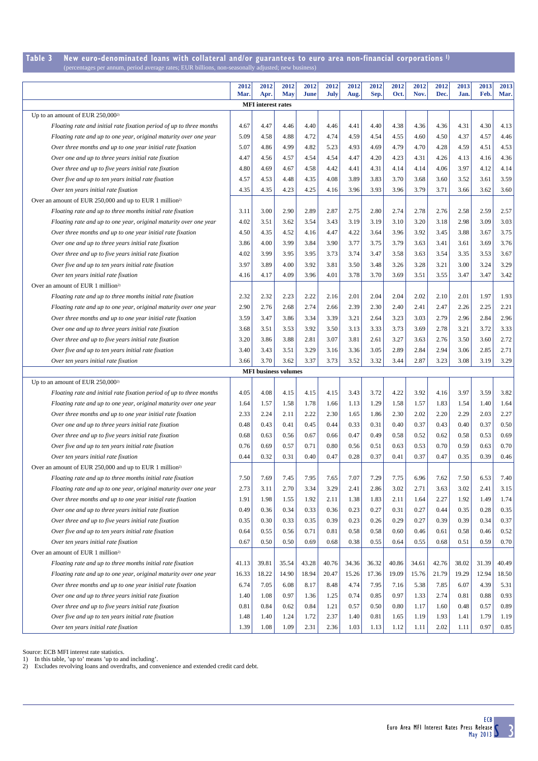#### **Table 3 New euro-denominated loans with collateral and/or guarantees to euro area non-financial corporations 1)** (percentages per annum, period average rates; EUR billions, non-seasonally adjusted; new business)

|                                                                                                                    | 2012<br>Mar. | 2012<br>Apr.                | 2012<br><b>May</b> | 2012<br>June | 2012<br>July | 2012<br>Aug. | 2012<br>Sep. | 2012<br>Oct. | 2012<br>Nov. | 2012<br>Dec. | 2013<br>Jan. | 2013<br>Feb. | 2013<br>Mar. |
|--------------------------------------------------------------------------------------------------------------------|--------------|-----------------------------|--------------------|--------------|--------------|--------------|--------------|--------------|--------------|--------------|--------------|--------------|--------------|
|                                                                                                                    |              | <b>MFI</b> interest rates   |                    |              |              |              |              |              |              |              |              |              |              |
| Up to an amount of EUR $250,000^{2}$                                                                               |              |                             |                    |              |              |              |              |              |              |              |              |              |              |
| Floating rate and initial rate fixation period of up to three months                                               | 4.67         | 4.47                        | 4.46               | 4.40         | 4.46         | 4.41         | 4.40         | 4.38         | 4.36         | 4.36         | 4.31         | 4.30         | 4.13         |
| Floating rate and up to one year, original maturity over one year                                                  | 5.09         | 4.58                        | 4.88               | 4.72         | 4.74         | 4.59         | 4.54         | 4.55         | 4.60         | 4.50         | 4.37         | 4.57         | 4.46         |
| Over three months and up to one year initial rate fixation                                                         | 5.07         | 4.86                        | 4.99               | 4.82         | 5.23         | 4.93         | 4.69         | 4.79         | 4.70         | 4.28         | 4.59         | 4.51         | 4.53         |
| Over one and up to three years initial rate fixation                                                               | 4.47         | 4.56                        | 4.57               | 4.54         | 4.54         | 4.47         | 4.20         | 4.23         | 4.31         | 4.26         | 4.13         | 4.16         | 4.36         |
| Over three and up to five years initial rate fixation                                                              | 4.80         | 4.69                        | 4.67               | 4.58         | 4.42         | 4.41         | 4.31         | 4.14         | 4.14         | 4.06         | 3.97         | 4.12         | 4.14         |
| Over five and up to ten years initial rate fixation                                                                | 4.57         | 4.53                        | 4.48               | 4.35         | 4.08         | 3.89         | 3.83         | 3.70         | 3.68         | 3.60         | 3.52         | 3.61         | 3.59         |
| Over ten years initial rate fixation                                                                               | 4.35         | 4.35                        | 4.23               | 4.25         | 4.16         | 3.96         | 3.93         | 3.96         | 3.79         | 3.71         | 3.66         | 3.62         | 3.60         |
| Over an amount of EUR 250,000 and up to EUR 1 million <sup>2)</sup>                                                |              |                             |                    |              |              |              |              |              |              |              |              |              |              |
| Floating rate and up to three months initial rate fixation                                                         | 3.11         | 3.00                        | 2.90               | 2.89         | 2.87         | 2.75         | 2.80         | 2.74         | 2.78         | 2.76         | 2.58         | 2.59         | 2.57         |
| Floating rate and up to one year, original maturity over one year                                                  | 4.02         | 3.51                        | 3.62               | 3.54         | 3.43         | 3.19         | 3.19         | 3.10         | 3.20         | 3.18         | 2.98         | 3.09         | 3.03         |
| Over three months and up to one year initial rate fixation                                                         | 4.50         | 4.35                        | 4.52               | 4.16         | 4.47         | 4.22         | 3.64         | 3.96         | 3.92         | 3.45         | 3.88         | 3.67         | 3.75         |
| Over one and up to three years initial rate fixation                                                               | 3.86         | 4.00                        | 3.99               | 3.84         | 3.90         | 3.77         | 3.75         | 3.79         | 3.63         | 3.41         | 3.61         | 3.69         | 3.76         |
| Over three and up to five years initial rate fixation                                                              | 4.02         | 3.99                        | 3.95               | 3.95         | 3.73         | 3.74         | 3.47         | 3.58         | 3.63         | 3.54         | 3.35         | 3.53         | 3.67         |
| Over five and up to ten years initial rate fixation                                                                | 3.97         | 3.89                        | 4.00               | 3.92         | 3.81         | 3.50         | 3.48         | 3.26         | 3.28         | 3.21         | 3.00         | 3.24         | 3.29         |
| Over ten years initial rate fixation                                                                               | 4.16         | 4.17                        | 4.09               | 3.96         | 4.01         | 3.78         | 3.70         | 3.69         | 3.51         | 3.55         | 3.47         | 3.47         | 3.42         |
| Over an amount of EUR 1 million <sup>2)</sup>                                                                      |              |                             |                    |              |              |              |              |              |              |              |              |              |              |
| Floating rate and up to three months initial rate fixation                                                         | 2.32         | 2.32                        | 2.23               | 2.22         | 2.16         | 2.01         | 2.04         | 2.04         | 2.02         | 2.10         | 2.01         | 1.97         | 1.93         |
| Floating rate and up to one year, original maturity over one year                                                  | 2.90         | 2.76                        | 2.68               | 2.74         | 2.66         | 2.39         | 2.30         | 2.40         | 2.41         | 2.47         | 2.26         | 2.25         | 2.21         |
| Over three months and up to one year initial rate fixation                                                         | 3.59         | 3.47                        | 3.86               | 3.34         | 3.39         | 3.21         | 2.64         | 3.23         | 3.03         | 2.79         | 2.96         | 2.84         | 2.96         |
| Over one and up to three years initial rate fixation                                                               | 3.68         | 3.51                        | 3.53               | 3.92         | 3.50         | 3.13         | 3.33         | 3.73         | 3.69         | 2.78         | 3.21         | 3.72         | 3.33         |
| Over three and up to five years initial rate fixation                                                              | 3.20         | 3.86                        | 3.88               | 2.81         | 3.07         | 3.81         | 2.61         | 3.27         | 3.63         | 2.76         | 3.50         | 3.60         | 2.72         |
| Over five and up to ten years initial rate fixation                                                                | 3.40         | 3.43                        | 3.51               | 3.29         | 3.16         | 3.36         | 3.05         | 2.89         | 2.84         | 2.94         | 3.06         | 2.85         | 2.71         |
| Over ten years initial rate fixation                                                                               | 3.66         | 3.70                        | 3.62               | 3.37         | 3.73         | 3.52         | 3.32         | 3.44         | 2.87         | 3.23         | 3.08         | 3.19         | 3.29         |
|                                                                                                                    |              | <b>MFI</b> business volumes |                    |              |              |              |              |              |              |              |              |              |              |
| Up to an amount of EUR 250,000 <sup>2)</sup>                                                                       |              |                             |                    |              |              |              |              |              |              |              |              |              |              |
| Floating rate and initial rate fixation period of up to three months                                               | 4.05         | 4.08                        | 4.15               | 4.15         | 4.15         | 3.43         | 3.72         | 4.22         | 3.92         | 4.16         | 3.97         | 3.59         | 3.82         |
| Floating rate and up to one year, original maturity over one year                                                  | 1.64         | 1.57                        | 1.58               | 1.78         | 1.66         | 1.13         | 1.29         | 1.58         | 1.57         | 1.83         | 1.54         | 1.40         | 1.64         |
| Over three months and up to one year initial rate fixation                                                         | 2.33         | 2.24                        | 2.11               | 2.22         | 2.30         | 1.65         | 1.86         | 2.30         | 2.02         | 2.20         | 2.29         | 2.03         | 2.27         |
| Over one and up to three years initial rate fixation                                                               | 0.48         | 0.43                        | 0.41               | 0.45         | 0.44         | 0.33         | 0.31         | 0.40         | 0.37         | 0.43         | 0.40         | 0.37         | 0.50         |
| Over three and up to five years initial rate fixation                                                              | 0.68         | 0.63                        | 0.56               | 0.67         | 0.66         | 0.47         | 0.49         | 0.58         | 0.52         | 0.62         | 0.58         | 0.53         | 0.69         |
| Over five and up to ten years initial rate fixation                                                                | 0.76         | 0.69                        | 0.57               | 0.71         | 0.80         | 0.56         | 0.51         | 0.63         | 0.53         | 0.70         | 0.59         | 0.63         | 0.70         |
| Over ten years initial rate fixation                                                                               | 0.44         | 0.32                        | 0.31               | 0.40         | 0.47         | 0.28         | 0.37         | 0.41         | 0.37         | 0.47         | 0.35         | 0.39         | 0.46         |
| Over an amount of EUR 250,000 and up to EUR 1 million <sup>2)</sup>                                                |              |                             |                    |              |              |              |              |              |              |              |              |              |              |
| Floating rate and up to three months initial rate fixation                                                         | 7.50         | 7.69                        | 7.45               | 7.95         | 7.65         | 7.07         | 7.29         | 7.75         | 6.96         | 7.62         | 7.50         | 6.53         | 7.40         |
| Floating rate and up to one year, original maturity over one year                                                  | 2.73         | 3.11                        | 2.70               | 3.34         | 3.29         | 2.41         | 2.86         | 3.02         | 2.71         | 3.63         | 3.02         | 2.41         | 3.15         |
| Over three months and up to one year initial rate fixation                                                         | 1.91         | 1.98                        | 1.55               | 1.92         | 2.11         | 1.38         | 1.83         | 2.11         | 1.64         | 2.27         | 1.92         | 1.49         | 1.74         |
| Over one and up to three years initial rate fixation                                                               | 0.49         | 0.36                        | 0.34               | 0.33         | 0.36         | 0.23         | 0.27         | 0.31         | 0.27         | 0.44         | 0.35         | 0.28         | 0.35         |
| Over three and up to five years initial rate fixation                                                              | 0.35         | 0.30                        | 0.33               | 0.35         | 0.39         | 0.23         | 0.26         | 0.29         | 0.27         | 0.39         | 0.39         | 0.34         | 0.37         |
| Over five and up to ten years initial rate fixation                                                                | 0.64         | 0.55                        | 0.56               | 0.71         | 0.81         | 0.58         | 0.58         | 0.60         | 0.46         | 0.61         | 0.58         | 0.46         | 0.52         |
| Over ten years initial rate fixation                                                                               | 0.67         | 0.50                        | 0.50               | 0.69         | 0.68         | 0.38         | 0.55         | 0.64         | 0.55         | 0.68         | 0.51         | 0.59         | 0.70         |
| Over an amount of EUR 1 million <sup>2)</sup>                                                                      |              |                             |                    |              |              |              |              |              |              |              |              |              |              |
| Floating rate and up to three months initial rate fixation                                                         | 41.13        | 39.81                       | 35.54              | 43.28        | 40.76        | 34.36        | 36.32        | 40.86        | 34.61        | 42.76        | 38.02        | 31.39        | 40.49        |
| Floating rate and up to one year, original maturity over one year                                                  | 16.33        | 18.22                       | 14.90              | 18.94        | 20.47        | 15.26        | 17.36        | 19.09        | 15.76        | 21.79        | 19.29        | 12.94        | 18.50        |
| Over three months and up to one year initial rate fixation<br>Over one and up to three years initial rate fixation | 6.74         | 7.05                        | 6.08<br>0.97       | 8.17         | 8.48         | 4.74         | 7.95         | 7.16<br>0.97 | 5.38         | 7.85         | 6.07         | 4.39<br>0.88 | 5.31<br>0.93 |
| Over three and up to five years initial rate fixation                                                              | 1.40<br>0.81 | 1.08<br>0.84                | 0.62               | 1.36<br>0.84 | 1.25<br>1.21 | 0.74<br>0.57 | 0.85<br>0.50 | 0.80         | 1.33<br>1.17 | 2.74<br>1.60 | 0.81<br>0.48 | 0.57         | 0.89         |
| Over five and up to ten years initial rate fixation                                                                | 1.48         | 1.40                        | 1.24               | 1.72         | 2.37         | 1.40         | 0.81         | 1.65         | 1.19         | 1.93         | 1.41         | 1.79         | 1.19         |
|                                                                                                                    | 1.39         | 1.08                        | 1.09               | 2.31         | 2.36         | 1.03         | 1.13         | 1.12         | 1.11         | 2.02         | 1.11         | 0.97         | 0.85         |

Source: ECB MFI interest rate statistics. 1) In this table, 'up to' means 'up to and including'. 2) Excludes revolving loans and overdrafts, and convenience and extended credit card debt.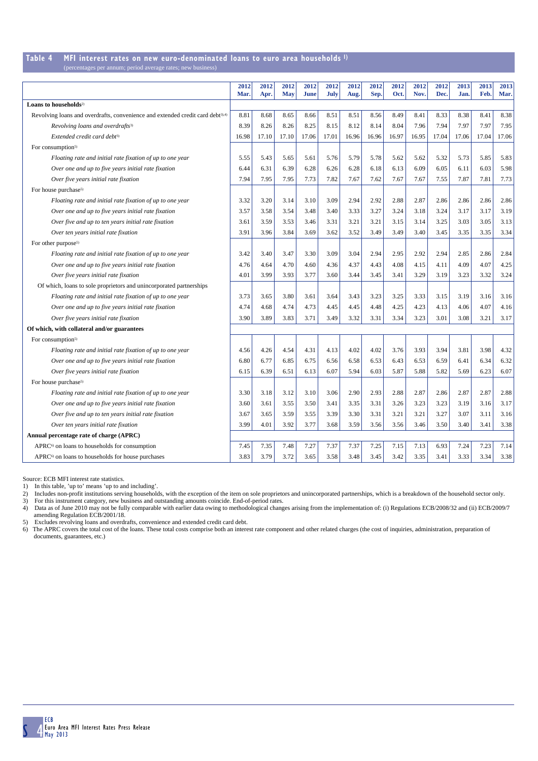### **Table 4 MFI interest rates on new euro-denominated loans to euro area households 1)**

|  | (percentages per annum; period average rates; new business) |
|--|-------------------------------------------------------------|
|--|-------------------------------------------------------------|

|                                                                                            | 2012<br>Mar. | 2012<br>Apr. | 2012<br><b>May</b> | 2012<br><b>June</b> | 2012<br>July | 2012<br>Aug. | 2012<br>Sep. | 2012<br>Oct. | 2012<br>Nov. | 2012<br>Dec. | 2013<br>Jan. | 2013<br>Feb. | 2013<br>Mar. |
|--------------------------------------------------------------------------------------------|--------------|--------------|--------------------|---------------------|--------------|--------------|--------------|--------------|--------------|--------------|--------------|--------------|--------------|
| Loans to households <sup>2)</sup>                                                          |              |              |                    |                     |              |              |              |              |              |              |              |              |              |
| Revolving loans and overdrafts, convenience and extended credit card debt <sup>3),4)</sup> | 8.81         | 8.68         | 8.65               | 8.66                | 8.51         | 8.51         | 8.56         | 8.49         | 8.41         | 8.33         | 8.38         | 8.41         | 8.38         |
| Revolving loans and overdrafts <sup>3)</sup>                                               | 8.39         | 8.26         | 8.26               | 8.25                | 8.15         | 8.12         | 8.14         | 8.04         | 7.96         | 7.94         | 7.97         | 7.97         | 7.95         |
| Extended credit card debt <sup>3)</sup>                                                    | 16.98        | 17.10        | 17.10              | 17.06               | 17.01        | 16.96        | 16.96        | 16.97        | 16.95        | 17.04        | 17.06        | 17.04        | 17.06        |
| For consumption <sup>5)</sup>                                                              |              |              |                    |                     |              |              |              |              |              |              |              |              |              |
| Floating rate and initial rate fixation of up to one year                                  | 5.55         | 5.43         | 5.65               | 5.61                | 5.76         | 5.79         | 5.78         | 5.62         | 5.62         | 5.32         | 5.73         | 5.85         | 5.83         |
| Over one and up to five years initial rate fixation                                        | 6.44         | 6.31         | 6.39               | 6.28                | 6.26         | 6.28         | 6.18         | 6.13         | 6.09         | 6.05         | 6.11         | 6.03         | 5.98         |
| Over five years initial rate fixation                                                      | 7.94         | 7.95         | 7.95               | 7.73                | 7.82         | 7.67         | 7.62         | 7.67         | 7.67         | 7.55         | 7.87         | 7.81         | 7.73         |
| For house purchase <sup>5)</sup>                                                           |              |              |                    |                     |              |              |              |              |              |              |              |              |              |
| Floating rate and initial rate fixation of up to one year                                  | 3.32         | 3.20         | 3.14               | 3.10                | 3.09         | 2.94         | 2.92         | 2.88         | 2.87         | 2.86         | 2.86         | 2.86         | 2.86         |
| Over one and up to five years initial rate fixation                                        | 3.57         | 3.58         | 3.54               | 3.48                | 3.40         | 3.33         | 3.27         | 3.24         | 3.18         | 3.24         | 3.17         | 3.17         | 3.19         |
| Over five and up to ten years initial rate fixation                                        | 3.61         | 3.59         | 3.53               | 3.46                | 3.31         | 3.21         | 3.21         | 3.15         | 3.14         | 3.25         | 3.03         | 3.05         | 3.13         |
| Over ten years initial rate fixation                                                       | 3.91         | 3.96         | 3.84               | 3.69                | 3.62         | 3.52         | 3.49         | 3.49         | 3.40         | 3.45         | 3.35         | 3.35         | 3.34         |
| For other purpose <sup>5)</sup>                                                            |              |              |                    |                     |              |              |              |              |              |              |              |              |              |
| Floating rate and initial rate fixation of up to one year                                  | 3.42         | 3.40         | 3.47               | 3.30                | 3.09         | 3.04         | 2.94         | 2.95         | 2.92         | 2.94         | 2.85         | 2.86         | 2.84         |
| Over one and up to five years initial rate fixation                                        | 4.76         | 4.64         | 4.70               | 4.60                | 4.36         | 4.37         | 4.43         | 4.08         | 4.15         | 4.11         | 4.09         | 4.07         | 4.25         |
| Over five years initial rate fixation                                                      | 4.01         | 3.99         | 3.93               | 3.77                | 3.60         | 3.44         | 3.45         | 3.41         | 3.29         | 3.19         | 3.23         | 3.32         | 3.24         |
| Of which, loans to sole proprietors and unincorporated partnerships                        |              |              |                    |                     |              |              |              |              |              |              |              |              |              |
| Floating rate and initial rate fixation of up to one year                                  | 3.73         | 3.65         | 3.80               | 3.61                | 3.64         | 3.43         | 3.23         | 3.25         | 3.33         | 3.15         | 3.19         | 3.16         | 3.16         |
| Over one and up to five years initial rate fixation                                        | 4.74         | 4.68         | 4.74               | 4.73                | 4.45         | 4.45         | 4.48         | 4.25         | 4.23         | 4.13         | 4.06         | 4.07         | 4.16         |
| Over five years initial rate fixation                                                      | 3.90         | 3.89         | 3.83               | 3.71                | 3.49         | 3.32         | 3.31         | 3.34         | 3.23         | 3.01         | 3.08         | 3.21         | 3.17         |
| Of which, with collateral and/or guarantees                                                |              |              |                    |                     |              |              |              |              |              |              |              |              |              |
| For consumption <sup>5)</sup>                                                              |              |              |                    |                     |              |              |              |              |              |              |              |              |              |
| Floating rate and initial rate fixation of up to one year                                  | 4.56         | 4.26         | 4.54               | 4.31                | 4.13         | 4.02         | 4.02         | 3.76         | 3.93         | 3.94         | 3.81         | 3.98         | 4.32         |
| Over one and up to five years initial rate fixation                                        | 6.80         | 6.77         | 6.85               | 6.75                | 6.56         | 6.58         | 6.53         | 6.43         | 6.53         | 6.59         | 6.41         | 6.34         | 6.32         |
| Over five years initial rate fixation                                                      | 6.15         | 6.39         | 6.51               | 6.13                | 6.07         | 5.94         | 6.03         | 5.87         | 5.88         | 5.82         | 5.69         | 6.23         | 6.07         |
| For house purchase <sup>5)</sup>                                                           |              |              |                    |                     |              |              |              |              |              |              |              |              |              |
| Floating rate and initial rate fixation of up to one year                                  | 3.30         | 3.18         | 3.12               | 3.10                | 3.06         | 2.90         | 2.93         | 2.88         | 2.87         | 2.86         | 2.87         | 2.87         | 2.88         |
| Over one and up to five years initial rate fixation                                        | 3.60         | 3.61         | 3.55               | 3.50                | 3.41         | 3.35         | 3.31         | 3.26         | 3.23         | 3.23         | 3.19         | 3.16         | 3.17         |
| Over five and up to ten years initial rate fixation                                        | 3.67         | 3.65         | 3.59               | 3.55                | 3.39         | 3.30         | 3.31         | 3.21         | 3.21         | 3.27         | 3.07         | 3.11         | 3.16         |
| Over ten years initial rate fixation                                                       | 3.99         | 4.01         | 3.92               | 3.77                | 3.68         | 3.59         | 3.56         | 3.56         | 3.46         | 3.50         | 3.40         | 3.41         | 3.38         |
| Annual percentage rate of charge (APRC)                                                    |              |              |                    |                     |              |              |              |              |              |              |              |              |              |
| APRC <sup>6)</sup> on loans to households for consumption                                  | 7.45         | 7.35         | 7.48               | 7.27                | 7.37         | 7.37         | 7.25         | 7.15         | 7.13         | 6.93         | 7.24         | 7.23         | 7.14         |
| APRC <sup>6)</sup> on loans to households for house purchases                              | 3.83         | 3.79         | 3.72               | 3.65                | 3.58         | 3.48         | 3.45         | 3.42         | 3.35         | 3.41         | 3.33         | 3.34         | 3.38         |

Source: ECB MFI interest rate statistics.

1) In this table, 'up to' means 'up to and including'.

2) Includes non-profit institutions serving households, with the exception of the item on sole proprietors and unincorporated partnerships, which is a breakdown of the household sector only.<br>3) For this instrument category amending Regulation ECB/2001/18.

5) Excludes revolving loans and overdrafts, convenience and extended credit card debt.

6) The APRC covers the total cost of the loans. These total costs comprise both an interest rate component and other related charges (the cost of inquiries, administration, preparation of documents, guarantees, etc.)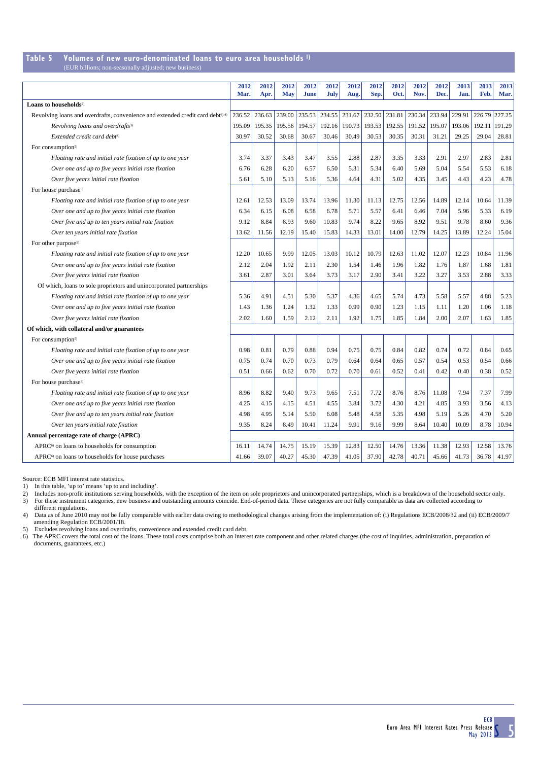### **Table 5 Volumes of new euro-denominated loans to euro area households 1)**

(EUR billions; non-seasonally adjusted; new busi

|                                                                                            | 2012<br>Mar. | 2012<br>Apr. | 2012<br><b>May</b> | 2012<br>June | 2012<br>July | 2012<br>Aug. | 2012<br>Sep. | 2012<br>Oct. | 2012<br>Nov. | 2012<br>Dec. | 2013<br>Jan. | 2013<br>Feb. | 2013<br>Mar. |
|--------------------------------------------------------------------------------------------|--------------|--------------|--------------------|--------------|--------------|--------------|--------------|--------------|--------------|--------------|--------------|--------------|--------------|
| Loans to households <sup>2)</sup>                                                          |              |              |                    |              |              |              |              |              |              |              |              |              |              |
| Revolving loans and overdrafts, convenience and extended credit card debt <sup>3),4)</sup> | 236.52       | 236.63       | 239.00             | 235.53       | 234.55       | 231.67       | 232.50       | 231.81       | 230.34       | 233.94       | 229.91       | 226.79       | 227.25       |
| Revolving loans and overdrafts <sup>3)</sup>                                               | 195.09       | 195.35       | 195.56             | 194.57       | 192.16       | 190.73       | 193.53       | 192.55       | 191.52       | 195.07       | 193.06       | 192.11       | 191.29       |
| Extended credit card debt <sup>3)</sup>                                                    | 30.97        | 30.52        | 30.68              | 30.67        | 30.46        | 30.49        | 30.53        | 30.35        | 30.31        | 31.21        | 29.25        | 29.04        | 28.81        |
| For consumption <sup>5)</sup>                                                              |              |              |                    |              |              |              |              |              |              |              |              |              |              |
| Floating rate and initial rate fixation of up to one year                                  | 3.74         | 3.37         | 3.43               | 3.47         | 3.55         | 2.88         | 2.87         | 3.35         | 3.33         | 2.91         | 2.97         | 2.83         | 2.81         |
| Over one and up to five years initial rate fixation                                        | 6.76         | 6.28         | 6.20               | 6.57         | 6.50         | 5.31         | 5.34         | 6.40         | 5.69         | 5.04         | 5.54         | 5.53         | 6.18         |
| Over five years initial rate fixation                                                      | 5.61         | 5.10         | 5.13               | 5.16         | 5.36         | 4.64         | 4.31         | 5.02         | 4.35         | 3.45         | 4.43         | 4.23         | 4.78         |
| For house purchase <sup>5)</sup>                                                           |              |              |                    |              |              |              |              |              |              |              |              |              |              |
| Floating rate and initial rate fixation of up to one year                                  | 12.61        | 12.53        | 13.09              | 13.74        | 13.96        | 11.30        | 11.13        | 12.75        | 12.56        | 14.89        | 12.14        | 10.64        | 11.39        |
| Over one and up to five years initial rate fixation                                        | 6.34         | 6.15         | 6.08               | 6.58         | 6.78         | 5.71         | 5.57         | 6.41         | 6.46         | 7.04         | 5.96         | 5.33         | 6.19         |
| Over five and up to ten years initial rate fixation                                        | 9.12         | 8.84         | 8.93               | 9.60         | 10.83        | 9.74         | 8.22         | 9.65         | 8.92         | 9.51         | 9.78         | 8.60         | 9.36         |
| Over ten years initial rate fixation                                                       | 13.62        | 11.56        | 12.19              | 15.40        | 15.83        | 14.33        | 13.01        | 14.00        | 12.79        | 14.25        | 13.89        | 12.24        | 15.04        |
| For other purpose <sup>5)</sup>                                                            |              |              |                    |              |              |              |              |              |              |              |              |              |              |
| Floating rate and initial rate fixation of up to one year                                  | 12.20        | 10.65        | 9.99               | 12.05        | 13.03        | 10.12        | 10.79        | 12.63        | 11.02        | 12.07        | 12.23        | 10.84        | 11.96        |
| Over one and up to five years initial rate fixation                                        | 2.12         | 2.04         | 1.92               | 2.11         | 2.30         | 1.54         | 1.46         | 1.96         | 1.82         | 1.76         | 1.87         | 1.68         | 1.81         |
| Over five years initial rate fixation                                                      | 3.61         | 2.87         | 3.01               | 3.64         | 3.73         | 3.17         | 2.90         | 3.41         | 3.22         | 3.27         | 3.53         | 2.88         | 3.33         |
| Of which, loans to sole proprietors and unincorporated partnerships                        |              |              |                    |              |              |              |              |              |              |              |              |              |              |
| Floating rate and initial rate fixation of up to one year                                  | 5.36         | 4.91         | 4.51               | 5.30         | 5.37         | 4.36         | 4.65         | 5.74         | 4.73         | 5.58         | 5.57         | 4.88         | 5.23         |
| Over one and up to five years initial rate fixation                                        | 1.43         | 1.36         | 1.24               | 1.32         | 1.33         | 0.99         | 0.90         | 1.23         | 1.15         | 1.11         | 1.20         | 1.06         | 1.18         |
| Over five years initial rate fixation                                                      | 2.02         | 1.60         | 1.59               | 2.12         | 2.11         | 1.92         | 1.75         | 1.85         | 1.84         | 2.00         | 2.07         | 1.63         | 1.85         |
| Of which, with collateral and/or guarantees                                                |              |              |                    |              |              |              |              |              |              |              |              |              |              |
| For consumption <sup>5)</sup>                                                              |              |              |                    |              |              |              |              |              |              |              |              |              |              |
| Floating rate and initial rate fixation of up to one year                                  | 0.98         | 0.81         | 0.79               | 0.88         | 0.94         | 0.75         | 0.75         | 0.84         | 0.82         | 0.74         | 0.72         | 0.84         | 0.65         |
| Over one and up to five years initial rate fixation                                        | 0.75         | 0.74         | 0.70               | 0.73         | 0.79         | 0.64         | 0.64         | 0.65         | 0.57         | 0.54         | 0.53         | 0.54         | 0.66         |
| Over five years initial rate fixation                                                      | 0.51         | 0.66         | 0.62               | 0.70         | 0.72         | 0.70         | 0.61         | 0.52         | 0.41         | 0.42         | 0.40         | 0.38         | 0.52         |
| For house purchase <sup>5)</sup>                                                           |              |              |                    |              |              |              |              |              |              |              |              |              |              |
| Floating rate and initial rate fixation of up to one year                                  | 8.96         | 8.82         | 9.40               | 9.73         | 9.65         | 7.51         | 7.72         | 8.76         | 8.76         | 11.08        | 7.94         | 7.37         | 7.99         |
| Over one and up to five years initial rate fixation                                        | 4.25         | 4.15         | 4.15               | 4.51         | 4.55         | 3.84         | 3.72         | 4.30         | 4.21         | 4.85         | 3.93         | 3.56         | 4.13         |
| Over five and up to ten years initial rate fixation                                        | 4.98         | 4.95         | 5.14               | 5.50         | 6.08         | 5.48         | 4.58         | 5.35         | 4.98         | 5.19         | 5.26         | 4.70         | 5.20         |
| Over ten years initial rate fixation                                                       | 9.35         | 8.24         | 8.49               | 10.41        | 11.24        | 9.91         | 9.16         | 9.99         | 8.64         | 10.40        | 10.09        | 8.78         | 10.94        |
| Annual percentage rate of charge (APRC)                                                    |              |              |                    |              |              |              |              |              |              |              |              |              |              |
| APRC <sup>6)</sup> on loans to households for consumption                                  | 16.11        | 14.74        | 14.75              | 15.19        | 15.39        | 12.83        | 12.50        | 14.76        | 13.36        | 11.38        | 12.93        | 12.58        | 13.76        |
| APRC <sup>6</sup> on loans to households for house purchases                               | 41.66        | 39.07        | 40.27              | 45.30        | 47.39        | 41.05        | 37.90        | 42.78        | 40.71        | 45.66        | 41.73        | 36.78        | 41.97        |

Source: ECB MFI interest rate statistics.

1) In this table, 'up to' means 'up to and including'.

2) Includes non-profit institutions serving households, with the exception of the item on sole proprietors and unincorporated partnerships, which is a breakdown of the household sector only.<br>3) For these instrument categor

different regulations.

4) Data as of June 2010 may not be fully comparable with earlier data owing to methodological changes arising from the implementation of: (i) Regulations ECB/2008/32 and (ii) ECB/2009/7 amending Regulation ECB/2001/18.

5) Excludes revolving loans and overdrafts, convenience and extended credit card debt.

6) The APRC covers the total cost of the loans. These total costs comprise both an interest rate component and other related charges (the cost of inquiries, administration, preparation of documents, guarantees, etc.)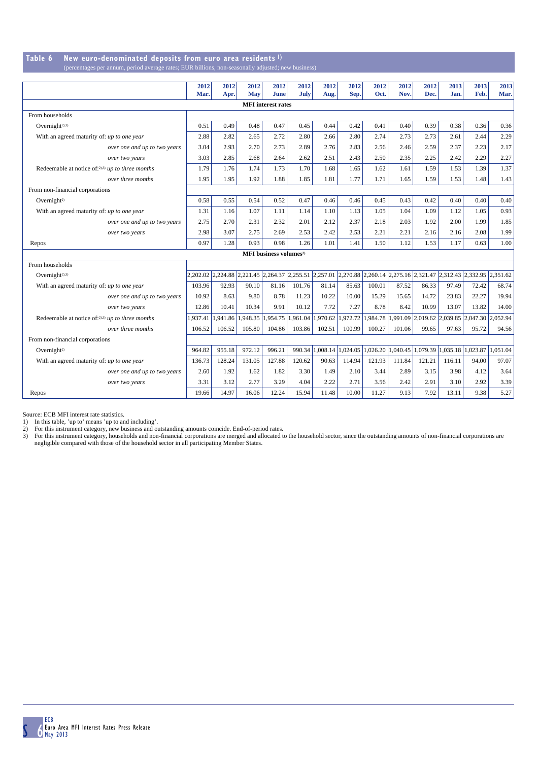#### **Table 6 New euro-denominated deposits from euro area residents 1)** (percentages per annum, period average rates; EUR billions, non-seasonally adjusted; new

|                                                     | 2012<br>Mar. | 2012<br>Apr.                                                                                                         | 2012<br>May | 2012<br>June                       | 2012<br>July | 2012<br>Aug.             | 2012<br>Sep. | 2012<br>Oct.        | 2012<br>Nov. | 2012<br>Dec.                                                                     | 2013<br>Jan.               | 2013<br>Feb. | 2013<br>Mar. |
|-----------------------------------------------------|--------------|----------------------------------------------------------------------------------------------------------------------|-------------|------------------------------------|--------------|--------------------------|--------------|---------------------|--------------|----------------------------------------------------------------------------------|----------------------------|--------------|--------------|
|                                                     |              |                                                                                                                      |             | <b>MFI</b> interest rates          |              |                          |              |                     |              |                                                                                  |                            |              |              |
| From households                                     |              |                                                                                                                      |             |                                    |              |                          |              |                     |              |                                                                                  |                            |              |              |
| Overnight <sup>2),3)</sup>                          | 0.51         | 0.49                                                                                                                 | 0.48        | 0.47                               | 0.45         | 0.44                     | 0.42         | 0.41                | 0.40         | 0.39                                                                             | 0.38                       | 0.36         | 0.36         |
| With an agreed maturity of: up to one year          | 2.88         | 2.82                                                                                                                 | 2.65        | 2.72                               | 2.80         | 2.66                     | 2.80         | 2.74                | 2.73         | 2.73                                                                             | 2.61                       | 2.44         | 2.29         |
| over one and up to two years                        | 3.04         | 2.93                                                                                                                 | 2.70        | 2.73                               | 2.89         | 2.76                     | 2.83         | 2.56                | 2.46         | 2.59                                                                             | 2.37                       | 2.23         | 2.17         |
| over two years                                      | 3.03         | 2.85                                                                                                                 | 2.68        | 2.64                               | 2.62         | 2.51                     | 2.43         | 2.50                | 2.35         | 2.25                                                                             | 2.42                       | 2.29         | 2.27         |
| Redeemable at notice of:2),3) up to three months    | 1.79         | 1.76                                                                                                                 | 1.74        | 1.73                               | 1.70         | 1.68                     | 1.65         | 1.62                | 1.61         | 1.59                                                                             | 1.53                       | 1.39         | 1.37         |
| over three months                                   | 1.95         | 1.95                                                                                                                 | 1.92        | 1.88                               | 1.85         | 1.81                     | 1.77         | 1.71                | 1.65         | 1.59                                                                             | 1.53                       | 1.48         | 1.43         |
| From non-financial corporations                     |              |                                                                                                                      |             |                                    |              |                          |              |                     |              |                                                                                  |                            |              |              |
| Overnight <sup>2)</sup>                             | 0.58         | 0.55                                                                                                                 | 0.54        | 0.52                               | 0.47         | 0.46                     | 0.46         | 0.45                | 0.43         | 0.42                                                                             | 0.40                       | 0.40         | 0.40         |
| With an agreed maturity of: up to one year          | 1.31         | 1.16                                                                                                                 | 1.07        | 1.11                               | 1.14         | 1.10                     | 1.13         | 1.05                | 1.04         | 1.09                                                                             | 1.12                       | 1.05         | 0.93         |
| over one and up to two years                        | 2.75         | 2.70                                                                                                                 | 2.31        | 2.32                               | 2.01         | 2.12                     | 2.37         | 2.18                | 2.03         | 1.92                                                                             | 2.00                       | 1.99         | 1.85         |
| over two years                                      | 2.98         | 3.07                                                                                                                 | 2.75        | 2.69                               | 2.53         | 2.42                     | 2.53         | 2.21                | 2.21         | 2.16                                                                             | 2.16                       | 2.08         | 1.99         |
| Repos                                               | 0.97         | 1.28                                                                                                                 | 0.93        | 0.98                               | 1.26         | 1.01                     | 1.41         | 1.50                | 1.12         | 1.53                                                                             | 1.17                       | 0.63         | 1.00         |
|                                                     |              |                                                                                                                      |             | MFI business volumes <sup>2)</sup> |              |                          |              |                     |              |                                                                                  |                            |              |              |
| From households                                     |              |                                                                                                                      |             |                                    |              |                          |              |                     |              |                                                                                  |                            |              |              |
| Overnight <sup>2),3)</sup>                          |              | 2,202.02 2,224.88 2,221.45 2,264.37 2,255.51 2,257.01 2,270.88 2,260.14 2,275.16 2,321.47 2,312.43 2,332.95 2,351.62 |             |                                    |              |                          |              |                     |              |                                                                                  |                            |              |              |
| With an agreed maturity of: up to one year          | 103.96       | 92.93                                                                                                                | 90.10       | 81.16                              | 101.76       | 81.14                    | 85.63        | 100.01              | 87.52        | 86.33                                                                            | 97.49                      | 72.42        | 68.74        |
| over one and up to two years                        | 10.92        | 8.63                                                                                                                 | 9.80        | 8.78                               | 11.23        | 10.22                    | 10.00        | 15.29               | 15.65        | 14.72                                                                            | 23.83                      | 22.27        | 19.94        |
| over two years                                      | 12.86        | 10.41                                                                                                                | 10.34       | 9.91                               | 10.12        | 7.72                     | 7.27         | 8.78                | 8.42         | 10.99                                                                            | 13.07                      | 13.82        | 14.00        |
| Redeemable at notice of: $2,3$ ) up to three months | 1,937.41     | ,941.86                                                                                                              | ,948.35     | 1,954.75                           |              |                          |              |                     |              | 1,961.04 1,970.62 1,972.72 1,984.78 1,991.09 2,019.62 2,039.85 2,047.30 2,052.94 |                            |              |              |
| over three months                                   | 106.52       | 106.52                                                                                                               | 105.80      | 104.86                             | 103.86       | 102.51                   | 100.99       | 100.27              | 101.06       | 99.65                                                                            | 97.63                      | 95.72        | 94.56        |
| From non-financial corporations                     |              |                                                                                                                      |             |                                    |              |                          |              |                     |              |                                                                                  |                            |              |              |
| Overnight <sup>2)</sup>                             | 964.82       | 955.18                                                                                                               | 972.12      | 996.21                             |              | 990.34 1,008.14 1,024.05 |              | $1,026.20$ 1,040.45 |              |                                                                                  | 1,079.39 1,035.18 1,023.87 |              | 1,051.04     |
| With an agreed maturity of: up to one year          | 136.73       | 128.24                                                                                                               | 131.05      | 127.88                             | 120.62       | 90.63                    | 114.94       | 121.93              | 111.84       | 121.21                                                                           | 116.11                     | 94.00        | 97.07        |
| over one and up to two years                        | 2.60         | 1.92                                                                                                                 | 1.62        | 1.82                               | 3.30         | 1.49                     | 2.10         | 3.44                | 2.89         | 3.15                                                                             | 3.98                       | 4.12         | 3.64         |
| over two years                                      | 3.31         | 3.12                                                                                                                 | 2.77        | 3.29                               | 4.04         | 2.22                     | 2.71         | 3.56                | 2.42         | 2.91                                                                             | 3.10                       | 2.92         | 3.39         |
| Repos                                               | 19.66        | 14.97                                                                                                                | 16.06       | 12.24                              | 15.94        | 11.48                    | 10.00        | 11.27               | 9.13         | 7.92                                                                             | 13.11                      | 9.38         | 5.27         |

Source: ECB MFI interest rate statistics.<br>1) In this table, 'up to' means 'up to and including'.<br>2) For this instrument category, new business and outstanding amounts coincide. End-of-period rates.<br>3) For this instrument c negligible compared with those of the household sector in all participating Member States.